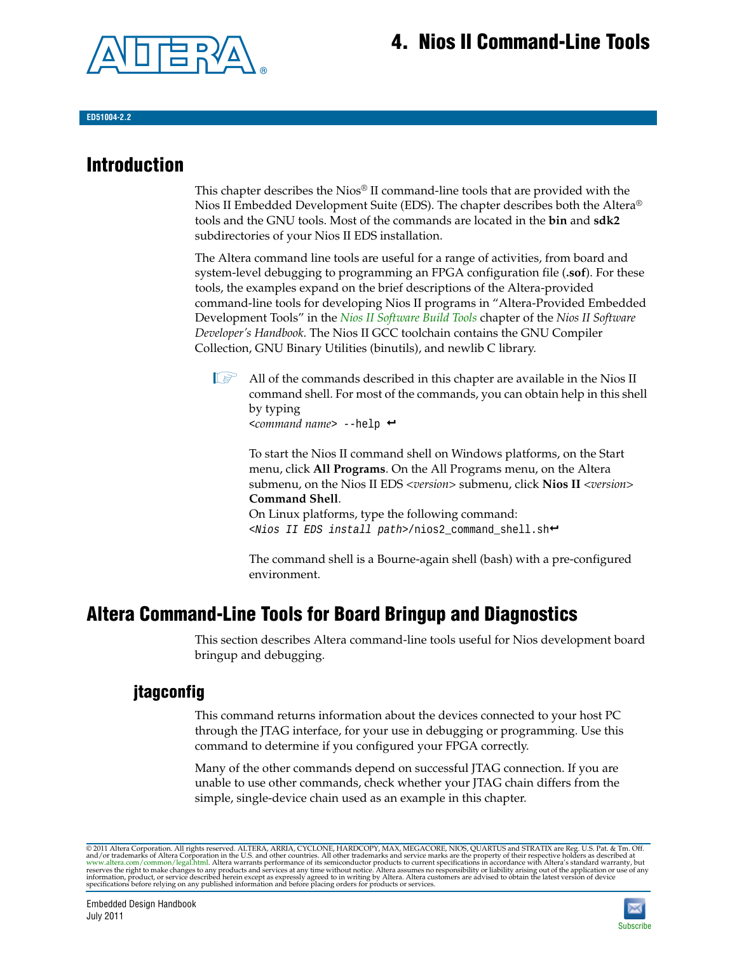# **4. Nios II Command-Line Tools**



#### **ED51004-2.2**

## **Introduction**

This chapter describes the Nios® II command-line tools that are provided with the Nios II Embedded Development Suite (EDS). The chapter describes both the Altera® tools and the GNU tools. Most of the commands are located in the **bin** and **sdk2**  subdirectories of your Nios II EDS installation.

The Altera command line tools are useful for a range of activities, from board and system-level debugging to programming an FPGA configuration file (**.sof**). For these tools, the examples expand on the brief descriptions of the Altera-provided command-line tools for developing Nios II programs in "Altera-Provided Embedded Development Tools" in the *[Nios II Software Build Tools](http://www.altera.com/literature/hb/nios2/n2sw_nii52015.pdf)* chapter of the *Nios II Software Developer's Handbook*. The Nios II GCC toolchain contains the GNU Compiler Collection, GNU Binary Utilities (binutils), and newlib C library.

 $\mathbb{I}$  All of the commands described in this chapter are available in the Nios II command shell. For most of the commands, you can obtain help in this shell by typing

<*command name>* --help ←

To start the Nios II command shell on Windows platforms, on the Start menu, click **All Programs**. On the All Programs menu, on the Altera submenu, on the Nios II EDS <*version*> submenu, click **Nios II** <*version*> **Command Shell**.

On Linux platforms, type the following command: <*Nios II EDS install path*>/nios2\_command\_shell.sh<sup>→</sup>

The command shell is a Bourne-again shell (bash) with a pre-configured environment.

## **Altera Command-Line Tools for Board Bringup and Diagnostics**

This section describes Altera command-line tools useful for Nios development board bringup and debugging.

## **jtagconfig**

This command returns information about the devices connected to your host PC through the JTAG interface, for your use in debugging or programming. Use this command to determine if you configured your FPGA correctly.

Many of the other commands depend on successful JTAG connection. If you are unable to use other commands, check whether your JTAG chain differs from the simple, single-device chain used as an example in this chapter.

© 2011 Altera Corporation. All rights reserved. ALTERA, ARRIA, CYCLONE, HARDCOPY, MAX, MEGACORE, NIOS, QUARTUS and STRATIX are Reg. U.S. Pat. & Tm. Off. and/or trademarks of Altera Corporation in the U.S. and other countri

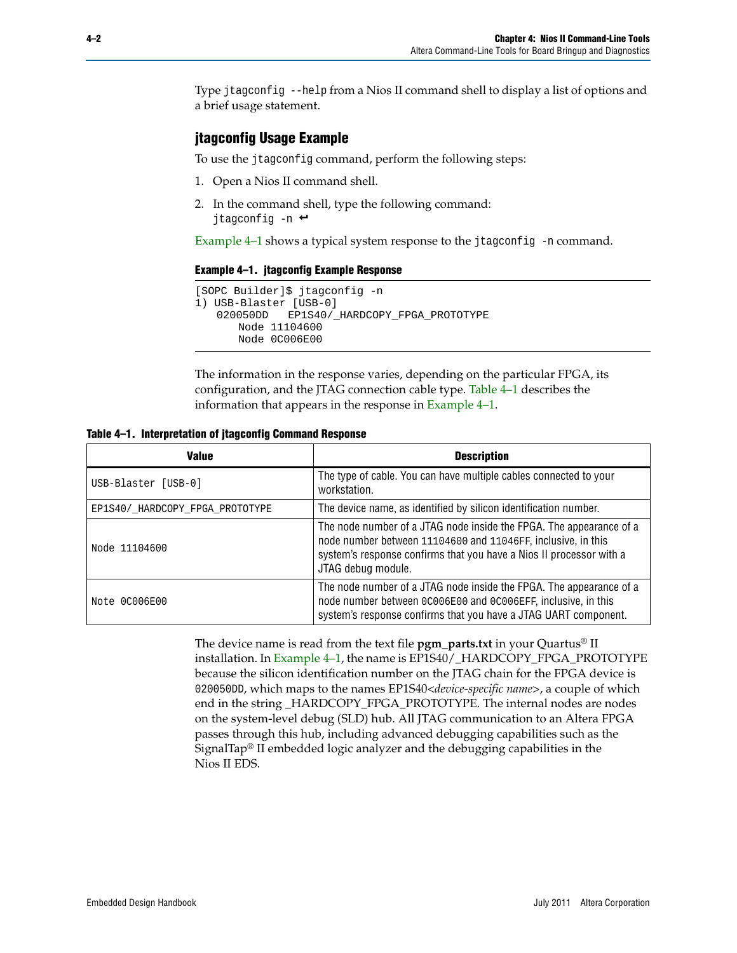Type jtagconfig --help from a Nios II command shell to display a list of options and a brief usage statement.

#### **jtagconfig Usage Example**

To use the jtagconfig command, perform the following steps:

- 1. Open a Nios II command shell.
- 2. In the command shell, type the following command: jtagconfig  $-n$

Example 4–1 shows a typical system response to the jtagconfig -n command.

#### **Example 4–1. jtagconfig Example Response**

```
[SOPC Builder]$ jtagconfig -n
1) USB-Blaster [USB-0]
   020050DD EP1S40/_HARDCOPY_FPGA_PROTOTYPE
      Node 11104600
      Node 0C006E00
```
The information in the response varies, depending on the particular FPGA, its configuration, and the JTAG connection cable type. Table 4–1 describes the information that appears in the response in Example 4–1.

**Table 4–1. Interpretation of jtagconfig Command Response**

| <b>Value</b>                    | <b>Description</b>                                                                                                                                                                                                               |
|---------------------------------|----------------------------------------------------------------------------------------------------------------------------------------------------------------------------------------------------------------------------------|
| USB-Blaster [USB-0]             | The type of cable. You can have multiple cables connected to your<br>workstation.                                                                                                                                                |
| EP1S40/ HARDCOPY FPGA PROTOTYPE | The device name, as identified by silicon identification number.                                                                                                                                                                 |
| Node 11104600                   | The node number of a JTAG node inside the FPGA. The appearance of a<br>node number between 11104600 and 11046FF, inclusive, in this<br>system's response confirms that you have a Nios II processor with a<br>JTAG debug module. |
| Note 0C006E00                   | The node number of a JTAG node inside the FPGA. The appearance of a<br>node number between 0C006E00 and 0C006EFF, inclusive, in this<br>system's response confirms that you have a JTAG UART component.                          |

The device name is read from the text file **pgm\_parts.txt** in your Quartus® II installation. In Example 4–1, the name is EP1S40/\_HARDCOPY\_FPGA\_PROTOTYPE because the silicon identification number on the JTAG chain for the FPGA device is 020050DD, which maps to the names EP1S40<*device-specific name*>, a couple of which end in the string \_HARDCOPY\_FPGA\_PROTOTYPE. The internal nodes are nodes on the system-level debug (SLD) hub. All JTAG communication to an Altera FPGA passes through this hub, including advanced debugging capabilities such as the SignalTap® II embedded logic analyzer and the debugging capabilities in the Nios II EDS.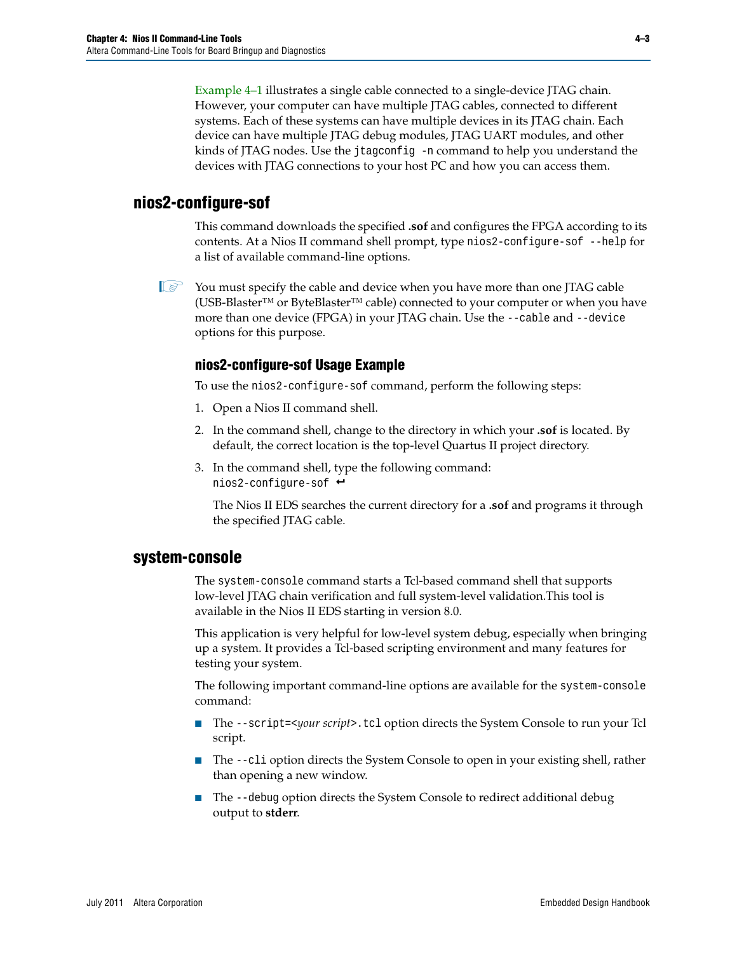Example 4–1 illustrates a single cable connected to a single-device JTAG chain. However, your computer can have multiple JTAG cables, connected to different systems. Each of these systems can have multiple devices in its JTAG chain. Each device can have multiple JTAG debug modules, JTAG UART modules, and other kinds of JTAG nodes. Use the jtagconfig -n command to help you understand the devices with JTAG connections to your host PC and how you can access them.

### <span id="page-2-0"></span>**nios2-configure-sof**

This command downloads the specified **.sof** and configures the FPGA according to its contents. At a Nios II command shell prompt, type nios2-configure-sof --help for a list of available command-line options.

 $\Box$  You must specify the cable and device when you have more than one JTAG cable (USB-Blaster™ or ByteBlaster™ cable) connected to your computer or when you have more than one device (FPGA) in your JTAG chain. Use the --cable and --device options for this purpose.

#### **nios2-configure-sof Usage Example**

To use the nios2-configure-sof command, perform the following steps:

- 1. Open a Nios II command shell.
- 2. In the command shell, change to the directory in which your **.sof** is located. By default, the correct location is the top-level Quartus II project directory.
- 3. In the command shell, type the following command: nios2-configure-sof  $\leftrightarrow$

The Nios II EDS searches the current directory for a **.sof** and programs it through the specified JTAG cable.

#### **system-console**

The system-console command starts a Tcl-based command shell that supports low-level JTAG chain verification and full system-level validation.This tool is available in the Nios II EDS starting in version 8.0.

This application is very helpful for low-level system debug, especially when bringing up a system. It provides a Tcl-based scripting environment and many features for testing your system.

The following important command-line options are available for the system-console command:

- The --script=*<your script>*.tcl option directs the System Console to run your Tcl script.
- The --cli option directs the System Console to open in your existing shell, rather than opening a new window.
- The --debug option directs the System Console to redirect additional debug output to **stderr**.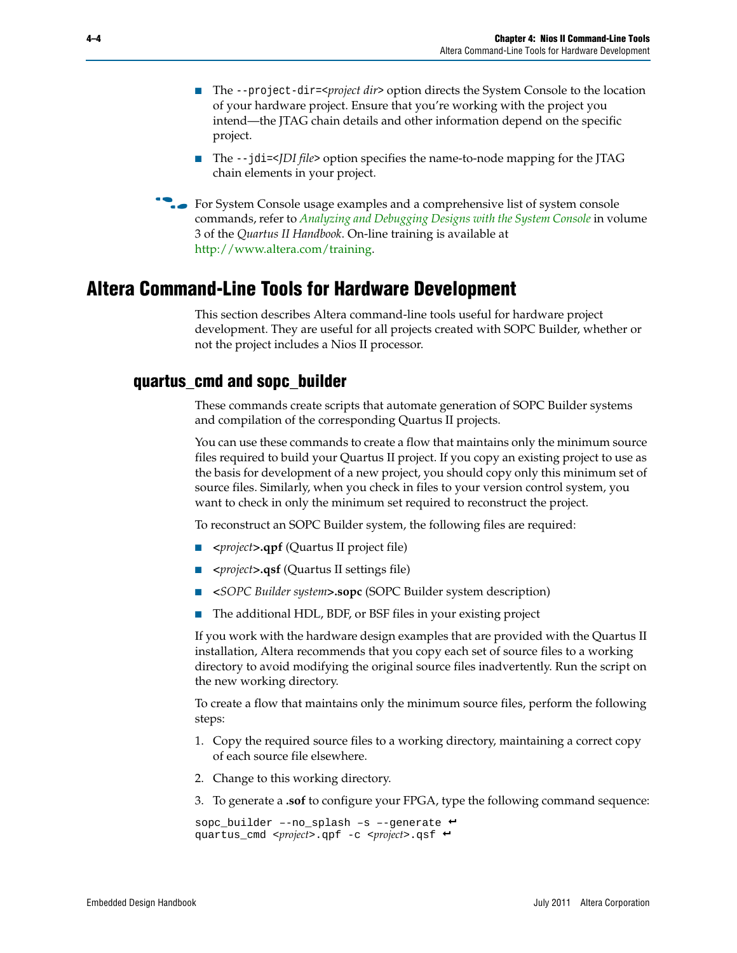- The --project-dir=<*project dir*> option directs the System Console to the location of your hardware project. Ensure that you're working with the project you intend—the JTAG chain details and other information depend on the specific project.
- The --jdi=<*JDI file*> option specifies the name-to-node mapping for the JTAG chain elements in your project.
- For System Console usage examples and a comprehensive list of system console commands, refer to *[Analyzing and Debugging Designs with the System Console](http://www.altera.com/literature/hb/qts/qts_qii53028.pdf)* in volume 3 of the *Quartus II Handbook*. On-line training is available at [http://www.altera.com/training.](http://www.altera.com/education/training/courses/OEMB1117)

## **Altera Command-Line Tools for Hardware Development**

This section describes Altera command-line tools useful for hardware project development. They are useful for all projects created with SOPC Builder, whether or not the project includes a Nios II processor.

### **quartus\_cmd and sopc\_builder**

These commands create scripts that automate generation of SOPC Builder systems and compilation of the corresponding Quartus II projects.

You can use these commands to create a flow that maintains only the minimum source files required to build your Quartus II project. If you copy an existing project to use as the basis for development of a new project, you should copy only this minimum set of source files. Similarly, when you check in files to your version control system, you want to check in only the minimum set required to reconstruct the project.

To reconstruct an SOPC Builder system, the following files are required:

- **<***project***>.qpf** (Quartus II project file)
- **<***project***>.qsf** (Quartus II settings file)
- <*SOPC Builder system>.sopc* (SOPC Builder system description)
- The additional HDL, BDF, or BSF files in your existing project

If you work with the hardware design examples that are provided with the Quartus II installation, Altera recommends that you copy each set of source files to a working directory to avoid modifying the original source files inadvertently. Run the script on the new working directory.

To create a flow that maintains only the minimum source files, perform the following steps:

- 1. Copy the required source files to a working directory, maintaining a correct copy of each source file elsewhere.
- 2. Change to this working directory.
- 3. To generate a **.sof** to configure your FPGA, type the following command sequence:

```
sopc builder --no splash -s --generate \leftrightarrowquartus_cmd <project>.qpf -c <project>.qsf r
```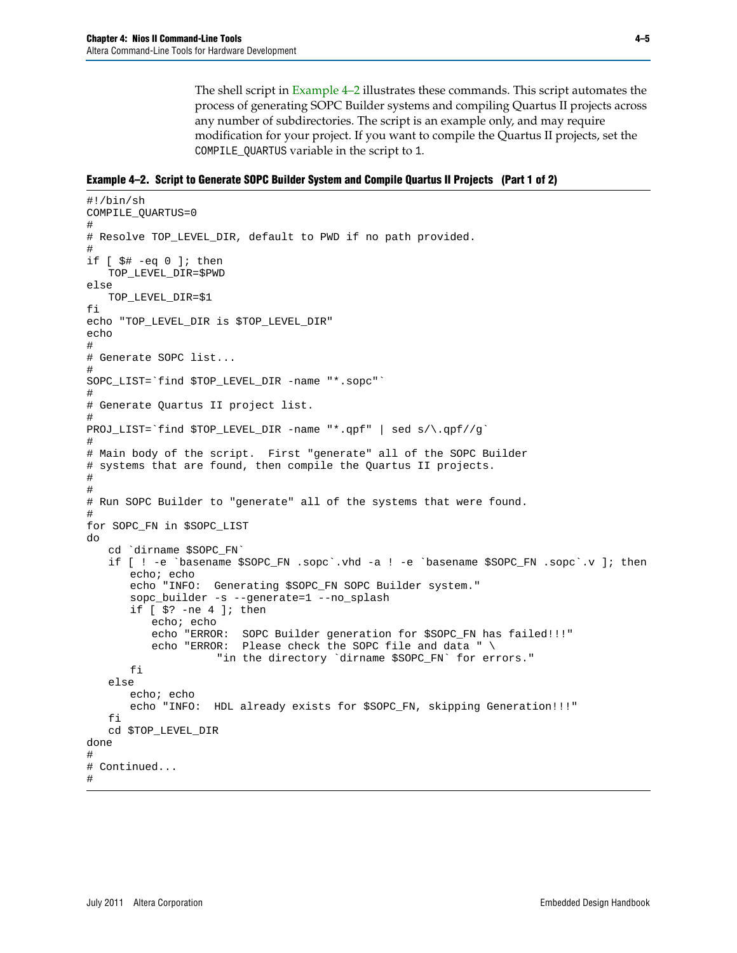The shell script in Example 4–2 illustrates these commands. This script automates the process of generating SOPC Builder systems and compiling Quartus II projects across any number of subdirectories. The script is an example only, and may require modification for your project. If you want to compile the Quartus II projects, set the COMPILE\_QUARTUS variable in the script to 1.

**Example 4–2. Script to Generate SOPC Builder System and Compile Quartus II Projects (Part 1 of 2)**

```
#!/bin/sh
COMPILE_QUARTUS=0
#
# Resolve TOP_LEVEL_DIR, default to PWD if no path provided.
#
if [ $# -eq 0 ]; then
   TOP_LEVEL_DIR=$PWD
else
   TOP_LEVEL_DIR=$1
fi
echo "TOP_LEVEL_DIR is $TOP_LEVEL_DIR"
echo
#
# Generate SOPC list...
#
SOPC_LIST=`find $TOP_LEVEL_DIR -name "*.sopc"`
#
# Generate Quartus II project list.
#
PROJ_LIST=`find $TOP_LEVEL_DIR -name "*.qpf" | sed s/\.qpf//g`
#
# Main body of the script. First "generate" all of the SOPC Builder 
# systems that are found, then compile the Quartus II projects.
#
#
# Run SOPC Builder to "generate" all of the systems that were found.
#
for SOPC_FN in $SOPC_LIST
do
   cd `dirname $SOPC_FN`
   if [ ! -e `basename $SOPC_FN .sopc`.vhd -a ! -e `basename $SOPC_FN .sopc`.v ]; then
      echo; echo
      echo "INFO: Generating $SOPC_FN SOPC Builder system."
      sopc_builder -s --generate=1 --no_splash
      if [ $? -ne 4 ]; then
          echo; echo
          echo "ERROR: SOPC Builder generation for $SOPC_FN has failed!!!"
          echo "ERROR: Please check the SOPC file and data " \
                    "in the directory `dirname $SOPC FN` for errors."
      fi
   else
      echo; echo
      echo "INFO: HDL already exists for $SOPC_FN, skipping Generation!!!"
   fi
   cd $TOP_LEVEL_DIR
done
#
 \mathsf{Continued...}#
```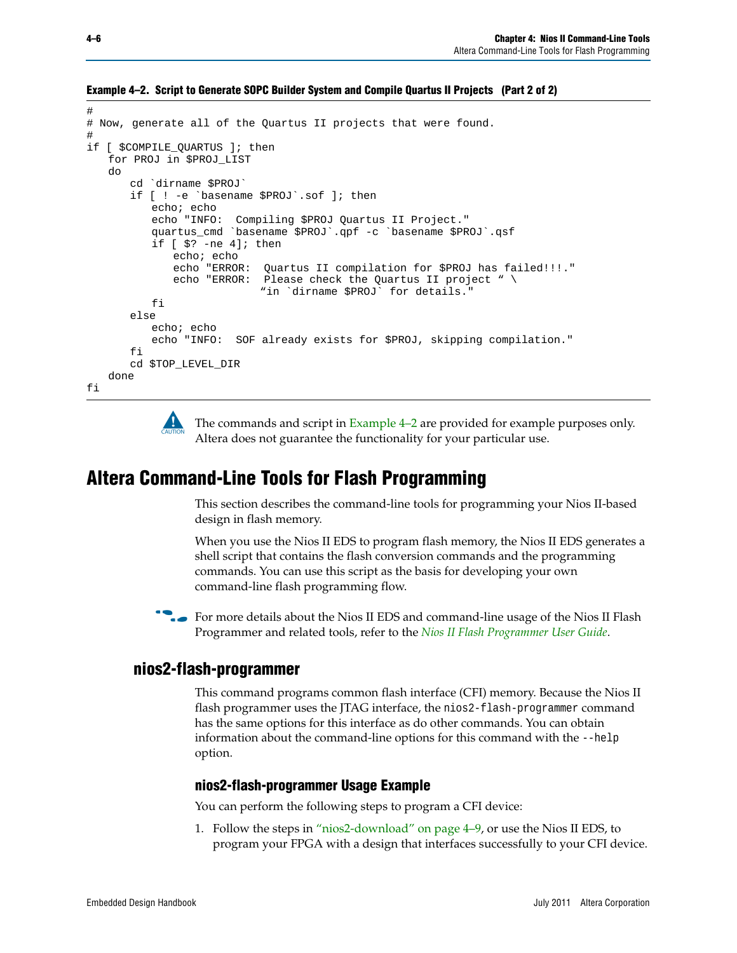**Example 4–2. Script to Generate SOPC Builder System and Compile Quartus II Projects (Part 2 of 2)**

```
#
# Now, generate all of the Quartus II projects that were found.
#
if [ $COMPILE OUARTUS ]; then
   for PROJ in $PROJ_LIST
   do
      cd `dirname $PROJ`
      if [ ! -e `basename $PROJ`.sof ]; then
          echo; echo
          echo "INFO: Compiling $PROJ Quartus II Project."
          quartus_cmd `basename $PROJ`.qpf -c `basename $PROJ`.qsf
          if [ $? -ne 4]; then
             echo; echo
             echo "ERROR: Quartus II compilation for $PROJ has failed!!!."
             echo "ERROR: Please check the Quartus II project " \
                           "in `dirname $PROJ` for details."
          fi
      else
          echo; echo
          echo "INFO: SOF already exists for $PROJ, skipping compilation."
      fi
      cd $TOP_LEVEL_DIR
   done
fi
```


**c** The commands and script in Example  $4-2$  are provided for example purposes only. Altera does not guarantee the functionality for your particular use.

## **Altera Command-Line Tools for Flash Programming**

This section describes the command-line tools for programming your Nios II-based design in flash memory.

When you use the Nios II EDS to program flash memory, the Nios II EDS generates a shell script that contains the flash conversion commands and the programming commands. You can use this script as the basis for developing your own command-line flash programming flow.

For more details about the Nios II EDS and command-line usage of the Nios II Flash Programmer and related tools, refer to the *[Nios II Flash Programmer User Guide](http://www.altera.com/literature/ug/ug_nios2_flash_programmer.pdf)*.

#### **nios2-flash-programmer**

This command programs common flash interface (CFI) memory. Because the Nios II flash programmer uses the JTAG interface, the nios2-flash-programmer command has the same options for this interface as do other commands. You can obtain information about the command-line options for this command with the --help option.

#### **nios2-flash-programmer Usage Example**

You can perform the following steps to program a CFI device:

1. Follow the steps in ["nios2-download" on page 4–9,](#page-8-0) or use the Nios II EDS, to program your FPGA with a design that interfaces successfully to your CFI device.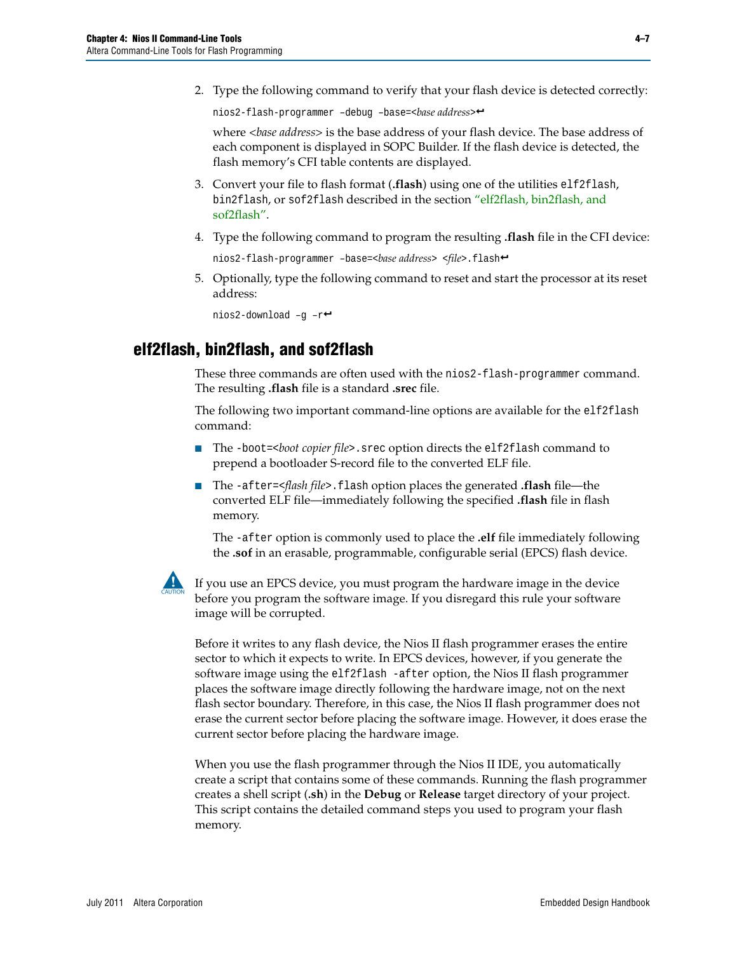2. Type the following command to verify that your flash device is detected correctly:

nios2-flash-programmer –debug –base=<*base address*>r

where <*base address*> is the base address of your flash device. The base address of each component is displayed in SOPC Builder. If the flash device is detected, the flash memory's CFI table contents are displayed.

- 3. Convert your file to flash format (**.flash**) using one of the utilities elf2flash, bin2flash, or sof2flash described in the section ["elf2flash, bin2flash, and](#page-6-0)  [sof2flash"](#page-6-0).
- 4. Type the following command to program the resulting **.flash** file in the CFI device:

nios2-flash-programmer –base=<*base address*> <*file*>.flashr

5. Optionally, type the following command to reset and start the processor at its reset address:

nios2-download -q -r<sup>←</sup>

## <span id="page-6-0"></span>**elf2flash, bin2flash, and sof2flash**

These three commands are often used with the nios2-flash-programmer command. The resulting **.flash** file is a standard **.srec** file.

The following two important command-line options are available for the elf2flash command:

- The -boot=<boot copier file>.srec option directs the elf2flash command to prepend a bootloader S-record file to the converted ELF file.
- The -after=<*flash file*> flash option places the generated **.flash** file—the converted ELF file—immediately following the specified **.flash** file in flash memory.

The -after option is commonly used to place the **.elf** file immediately following the **.sof** in an erasable, programmable, configurable serial (EPCS) flash device.



If you use an EPCS device, you must program the hardware image in the device before you program the software image. If you disregard this rule your software image will be corrupted.

Before it writes to any flash device, the Nios II flash programmer erases the entire sector to which it expects to write. In EPCS devices, however, if you generate the software image using the elf2flash -after option, the Nios II flash programmer places the software image directly following the hardware image, not on the next flash sector boundary. Therefore, in this case, the Nios II flash programmer does not erase the current sector before placing the software image. However, it does erase the current sector before placing the hardware image.

When you use the flash programmer through the Nios II IDE, you automatically create a script that contains some of these commands. Running the flash programmer creates a shell script (**.sh**) in the **Debug** or **Release** target directory of your project. This script contains the detailed command steps you used to program your flash memory.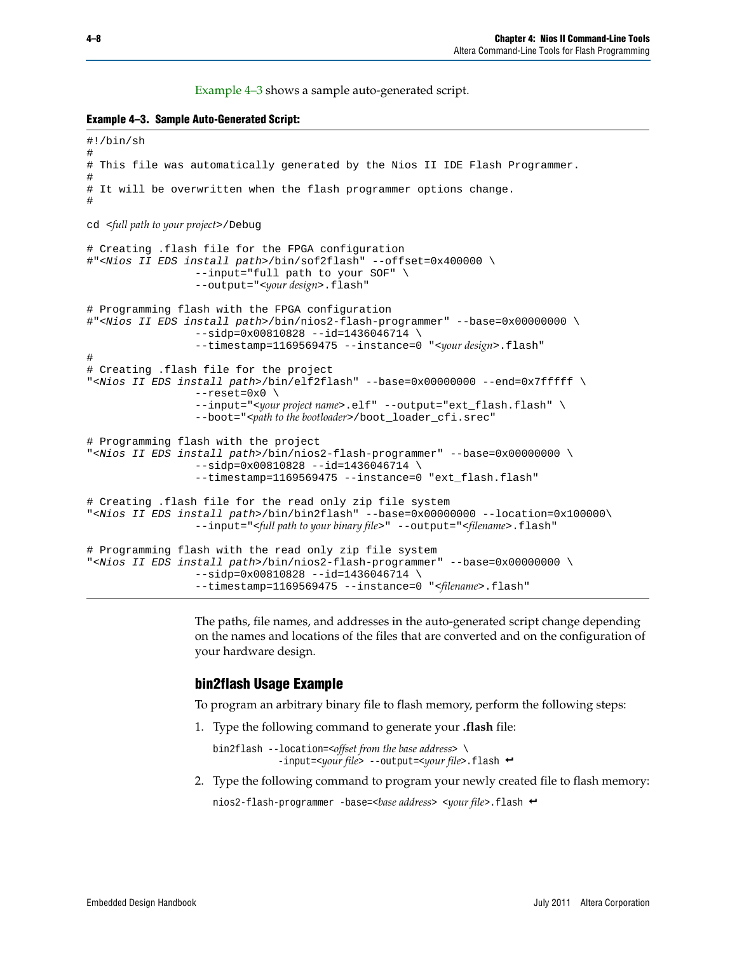Example 4–3 shows a sample auto-generated script.

#### **Example 4–3. Sample Auto-Generated Script:**

```
#!/bin/sh
#
# This file was automatically generated by the Nios II IDE Flash Programmer.
#
# It will be overwritten when the flash programmer options change.
#
cd <full path to your project>/Debug
# Creating .flash file for the FPGA configuration
#"<Nios II EDS install path>/bin/sof2flash" --offset=0x400000 \
                 --input="full path to your SOF" \
                 --output="<your design>.flash"
# Programming flash with the FPGA configuration
#"<Nios II EDS install path>/bin/nios2-flash-programmer" --base=0x00000000 \
                 --sidp=0x00810828 --id=1436046714--timestamp=1169569475 --instance=0 "<your design>.flash"
#
# Creating .flash file for the project
"<Nios II EDS install path>/bin/elf2flash" --base=0x00000000 --end=0x7fffff \
                 -reset = 0x0 \ \ \ \ \ \--input="<yourproject name>.elf" --output="ext_flash.flash" \
                 --boot="<path to the bootloader>/boot_loader_cfi.srec"
# Programming flash with the project
"<Nios II EDS install path>/bin/nios2-flash-programmer" --base=0x00000000 \
                 --sidp=0x00810828 --id=1436046714--timestamp=1169569475 --instance=0 "ext_flash.flash"
# Creating .flash file for the read only zip file system
"<Nios II EDS install path>/bin/bin2flash" --base=0x00000000 --location=0x100000\
                 --input="<full path to your binary file>" --output="<filename>.flash"
# Programming flash with the read only zip file system
"<Nios II EDS install path>/bin/nios2-flash-programmer" --base=0x00000000 \
                 --sidp=0x00810828 --id=1436046714 \ \ \ \ \ \--timestamp=1169569475 --instance=0 "<filename>.flash"
```
The paths, file names, and addresses in the auto-generated script change depending on the names and locations of the files that are converted and on the configuration of your hardware design.

#### **bin2flash Usage Example**

To program an arbitrary binary file to flash memory, perform the following steps:

1. Type the following command to generate your **.flash** file:

```
bin2flash --location=<offset from the base address> \
              -input=<your file> --output=<your file>.flash r
```
2. Type the following command to program your newly created file to flash memory:

nios2-flash-programmer -base=<*base address*> <*your file*>.flash r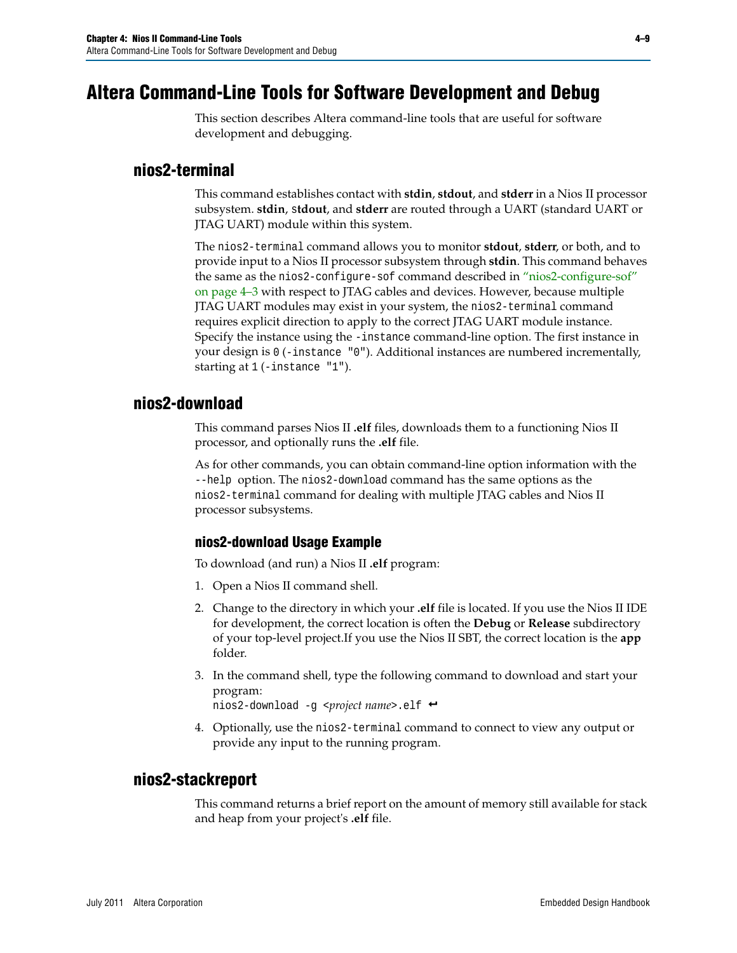## **Altera Command-Line Tools for Software Development and Debug**

This section describes Altera command-line tools that are useful for software development and debugging.

### **nios2-terminal**

This command establishes contact with **stdin**, **stdout**, and **stderr** in a Nios II processor subsystem. **stdin**, s**tdout**, and **stderr** are routed through a UART (standard UART or JTAG UART) module within this system.

The nios2-terminal command allows you to monitor **stdout**, **stderr**, or both, and to provide input to a Nios II processor subsystem through **stdin**. This command behaves the same as the nios2-configure-sof command described in ["nios2-configure-sof"](#page-2-0)  [on page 4–3](#page-2-0) with respect to JTAG cables and devices. However, because multiple JTAG UART modules may exist in your system, the nios2-terminal command requires explicit direction to apply to the correct JTAG UART module instance. Specify the instance using the -instance command-line option. The first instance in your design is 0 (-instance "0"). Additional instances are numbered incrementally, starting at 1 (-instance "1").

#### <span id="page-8-0"></span>**nios2-download**

This command parses Nios II **.elf** files, downloads them to a functioning Nios II processor, and optionally runs the **.elf** file.

As for other commands, you can obtain command-line option information with the --help option. The nios2-download command has the same options as the nios2-terminal command for dealing with multiple JTAG cables and Nios II processor subsystems.

#### **nios2-download Usage Example**

To download (and run) a Nios II **.elf** program:

- 1. Open a Nios II command shell.
- 2. Change to the directory in which your **.elf** file is located. If you use the Nios II IDE for development, the correct location is often the **Debug** or **Release** subdirectory of your top-level project.If you use the Nios II SBT, the correct location is the **app** folder.
- 3. In the command shell, type the following command to download and start your program: nios2-download -g <*project name*>.elf r
- 4. Optionally, use the nios2-terminal command to connect to view any output or provide any input to the running program.

### **nios2-stackreport**

This command returns a brief report on the amount of memory still available for stack and heap from your project's **.elf** file.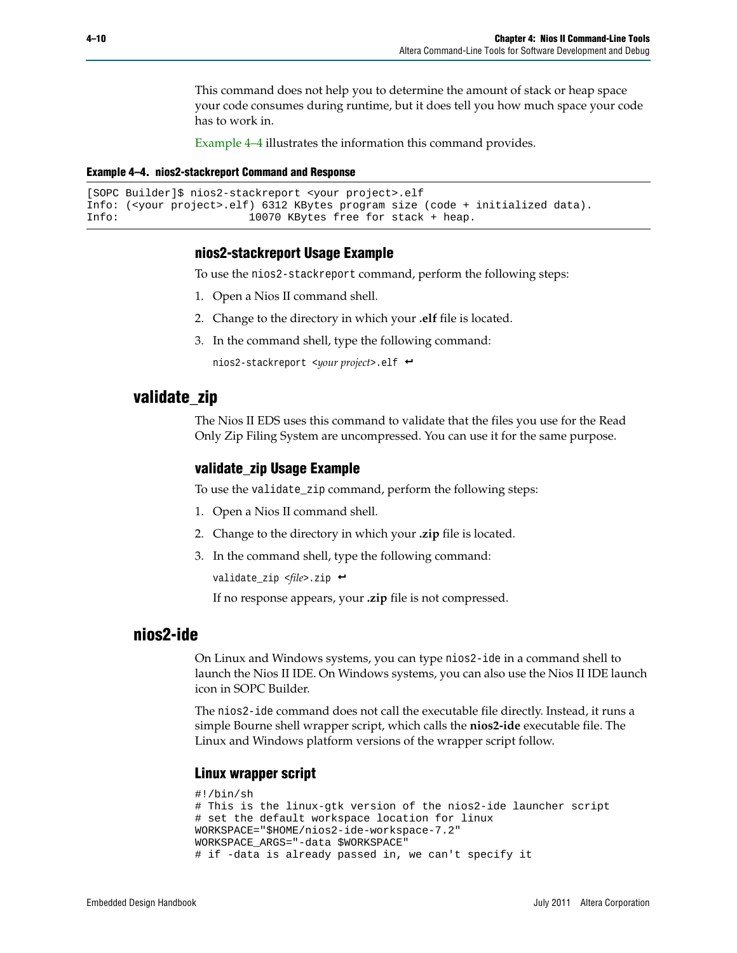This command does not help you to determine the amount of stack or heap space your code consumes during runtime, but it does tell you how much space your code has to work in.

Example 4–4 illustrates the information this command provides.

#### **Example 4–4. nios2-stackreport Command and Response**

```
[SOPC Builder]$ nios2-stackreport <your project>.elf
Info: (<your project>.elf) 6312 KBytes program size (code + initialized data).
Info: 10070 KBytes free for stack + heap.
```
#### **nios2-stackreport Usage Example**

To use the nios2-stackreport command, perform the following steps:

- 1. Open a Nios II command shell.
- 2. Change to the directory in which your **.elf** file is located.
- 3. In the command shell, type the following command:

nios2-stackreport <*your project*>.elf r

#### **validate\_zip**

The Nios II EDS uses this command to validate that the files you use for the Read Only Zip Filing System are uncompressed. You can use it for the same purpose.

#### **validate\_zip Usage Example**

To use the validate\_zip command, perform the following steps:

- 1. Open a Nios II command shell.
- 2. Change to the directory in which your **.zip** file is located.
- 3. In the command shell, type the following command:

```
validate_zip <file>.zip ←
```
If no response appears, your **.zip** file is not compressed.

#### **nios2-ide**

On Linux and Windows systems, you can type nios2-ide in a command shell to launch the Nios II IDE. On Windows systems, you can also use the Nios II IDE launch icon in SOPC Builder.

The nios2-ide command does not call the executable file directly. Instead, it runs a simple Bourne shell wrapper script, which calls the **nios2-ide** executable file. The Linux and Windows platform versions of the wrapper script follow.

#### **Linux wrapper script**

```
#!/bin/sh
# This is the linux-gtk version of the nios2-ide launcher script
# set the default workspace location for linux
WORKSPACE="$HOME/nios2-ide-workspace-7.2"
WORKSPACE ARGS="-data $WORKSPACE"
# if -data is already passed in, we can't specify it
```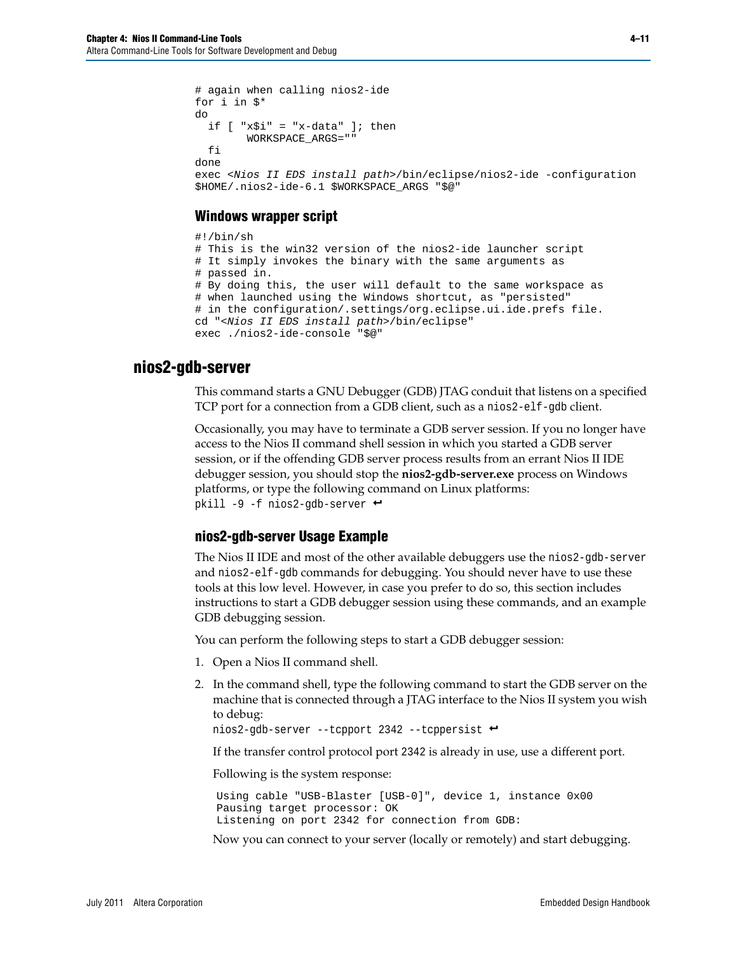```
# again when calling nios2-ide
for i in $*
do
   if [ "x$i" = "x-data" ]; then
         WORKSPACE_ARGS=""
 fi
done
exec <Nios II EDS install path>/bin/eclipse/nios2-ide -configuration 
$HOME/.nios2-ide-6.1 $WORKSPACE_ARGS "$@"
```
#### **Windows wrapper script**

```
#!/bin/sh
# This is the win32 version of the nios2-ide launcher script
# It simply invokes the binary with the same arguments as 
# passed in.
# By doing this, the user will default to the same workspace as
# when launched using the Windows shortcut, as "persisted"
# in the configuration/.settings/org.eclipse.ui.ide.prefs file.
cd "<Nios II EDS install path>/bin/eclipse"
exec ./nios2-ide-console "$@"
```
### <span id="page-10-0"></span>**nios2-gdb-server**

This command starts a GNU Debugger (GDB) JTAG conduit that listens on a specified TCP port for a connection from a GDB client, such as a nios2-elf-gdb client.

Occasionally, you may have to terminate a GDB server session. If you no longer have access to the Nios II command shell session in which you started a GDB server session, or if the offending GDB server process results from an errant Nios II IDE debugger session, you should stop the **nios2-gdb-server.exe** process on Windows platforms, or type the following command on Linux platforms: pkill -9 -f nios2-qdb-server  $\leftrightarrow$ 

#### **nios2-gdb-server Usage Example**

The Nios II IDE and most of the other available debuggers use the nios2-gdb-server and nios2-elf-gdb commands for debugging. You should never have to use these tools at this low level. However, in case you prefer to do so, this section includes instructions to start a GDB debugger session using these commands, and an example GDB debugging session.

You can perform the following steps to start a GDB debugger session:

- 1. Open a Nios II command shell.
- 2. In the command shell, type the following command to start the GDB server on the machine that is connected through a JTAG interface to the Nios II system you wish to debug:

nios2-gdb-server --tcpport 2342 --tcppersist  $\leftrightarrow$ 

If the transfer control protocol port 2342 is already in use, use a different port.

Following is the system response:

Using cable "USB-Blaster [USB-0]", device 1, instance 0x00 Pausing target processor: OK Listening on port 2342 for connection from GDB:

Now you can connect to your server (locally or remotely) and start debugging.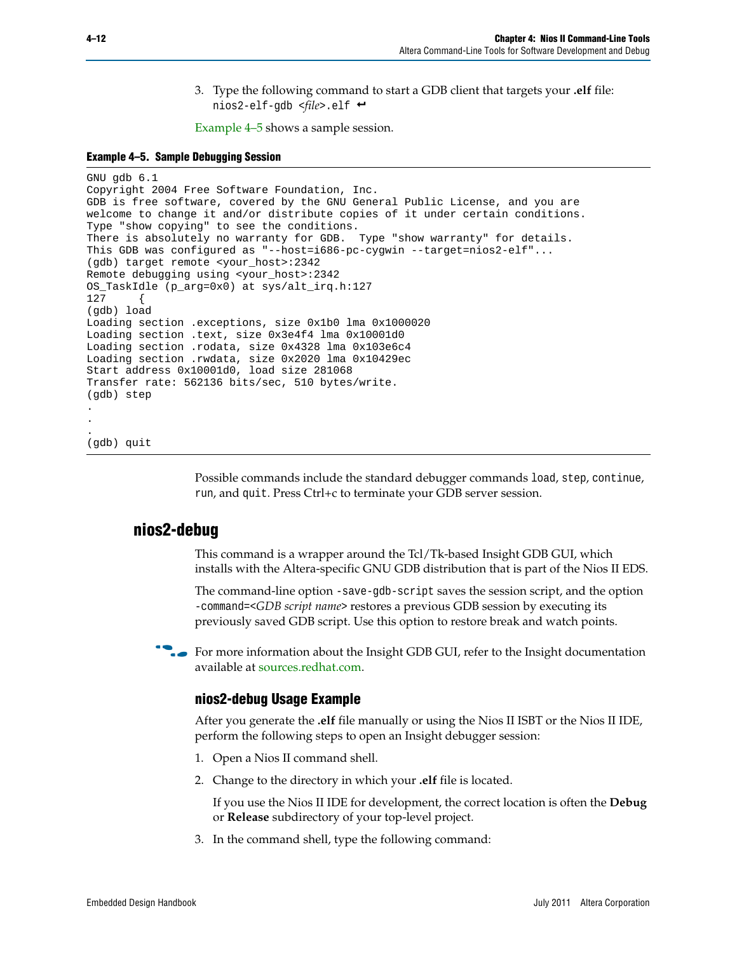3. Type the following command to start a GDB client that targets your **.elf** file: nios2-elf-gdb <*file*>.elf r

Example 4–5 shows a sample session.

#### **Example 4–5. Sample Debugging Session**

```
GNU gdb 6.1
Copyright 2004 Free Software Foundation, Inc.
GDB is free software, covered by the GNU General Public License, and you are
welcome to change it and/or distribute copies of it under certain conditions.
Type "show copying" to see the conditions.
There is absolutely no warranty for GDB. Type "show warranty" for details.
This GDB was configured as "--host=i686-pc-cygwin --target=nios2-elf"...
(gdb) target remote <your_host>:2342
Remote debugging using <your_host>:2342
OS TaskIdle (p_arg=0x0) at sys/alt irg.h:127
127 {
(gdb) load
Loading section .exceptions, size 0x1b0 lma 0x1000020
Loading section .text, size 0x3e4f4 lma 0x10001d0
Loading section .rodata, size 0x4328 lma 0x103e6c4
Loading section .rwdata, size 0x2020 lma 0x10429ec
Start address 0x10001d0, load size 281068
Transfer rate: 562136 bits/sec, 510 bytes/write.
(gdb) step
.
.
.
```
(gdb) quit

Possible commands include the standard debugger commands load, step, continue, run, and quit. Press Ctrl+c to terminate your GDB server session.

#### <span id="page-11-0"></span>**nios2-debug**

This command is a wrapper around the Tcl/Tk-based Insight GDB GUI, which installs with the Altera-specific GNU GDB distribution that is part of the Nios II EDS.

The command-line option -save-gdb-script saves the session script, and the option -command=<*GDB script name*> restores a previous GDB session by executing its previously saved GDB script. Use this option to restore break and watch points.

**For more information about the Insight GDB GUI, refer to the Insight documentation** available at [sources.redhat.com](http://sources.redhat.com/).

#### **nios2-debug Usage Example**

After you generate the **.elf** file manually or using the Nios II ISBT or the Nios II IDE, perform the following steps to open an Insight debugger session:

- 1. Open a Nios II command shell.
- 2. Change to the directory in which your **.elf** file is located.

If you use the Nios II IDE for development, the correct location is often the **Debug** or **Release** subdirectory of your top-level project.

3. In the command shell, type the following command: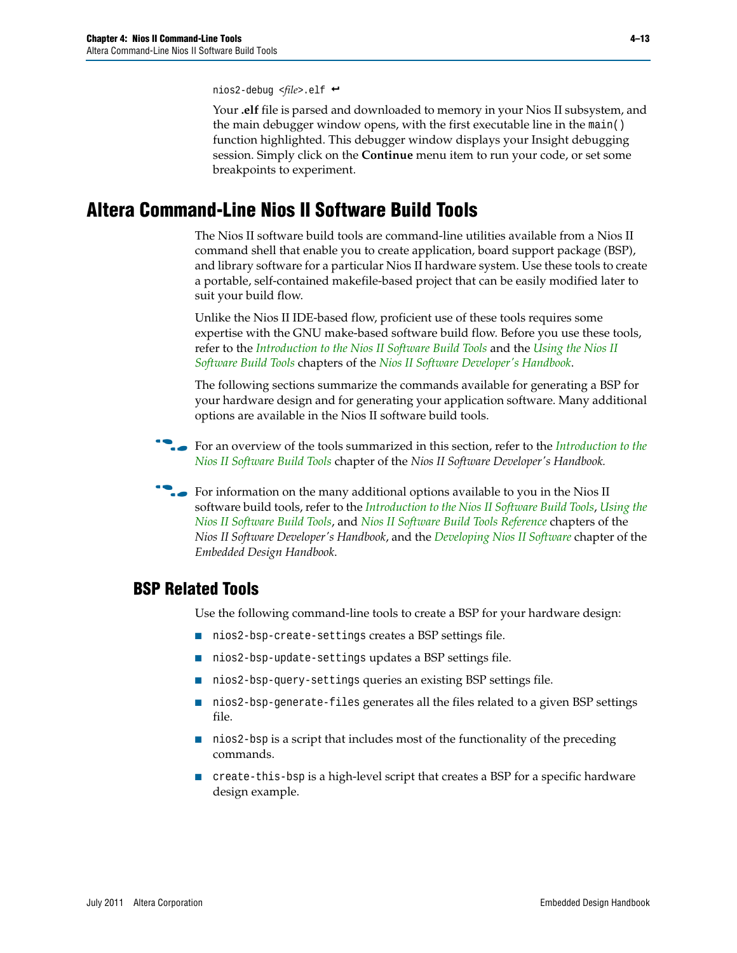nios2-debug <*file*>.elf r

Your **.elf** file is parsed and downloaded to memory in your Nios II subsystem, and the main debugger window opens, with the first executable line in the main() function highlighted. This debugger window displays your Insight debugging session. Simply click on the **Continue** menu item to run your code, or set some breakpoints to experiment.

## **Altera Command-Line Nios II Software Build Tools**

The Nios II software build tools are command-line utilities available from a Nios II command shell that enable you to create application, board support package (BSP), and library software for a particular Nios II hardware system. Use these tools to create a portable, self-contained makefile-based project that can be easily modified later to suit your build flow.

Unlike the Nios II IDE-based flow, proficient use of these tools requires some expertise with the GNU make-based software build flow. Before you use these tools, refer to the *[Introduction to the Nios II Software Build Tools](http://www.altera.com/literature/hb/nios2/n2sw_nii52014.pdf)* and the *[Using the Nios II](http://www.altera.com/literature/hb/nios2/n2sw_nii52015.pdf)  [Software Build Tools](http://www.altera.com/literature/hb/nios2/n2sw_nii52015.pdf)* chapters of the *[Nios II Software Developer's Handbook](http://www.altera.com/literature/hb/nios2/n2sw_nii5v2.pdf)*.

The following sections summarize the commands available for generating a BSP for your hardware design and for generating your application software. Many additional options are available in the Nios II software build tools.

**For an overview of the tools summarized in this section, refer to the** *Introduction to the [Nios II Software Build Tools](http://www.altera.com/literature/hb/nios2/n2sw_nii52014.pdf)* chapter of the *Nios II Software Developer's Handbook.*

 $\bullet$  For information on the many additional options available to you in the Nios II software build tools, refer to the *[Introduction to the Nios II Software Build Tools](http://www.altera.com/literature/hb/nios2/n2sw_nii52014.pdf)*, *[Using the](http://www.altera.com/literature/hb/nios2/n2sw_nii52015.pdf)  [Nios II Software Build Tools](http://www.altera.com/literature/hb/nios2/n2sw_nii52015.pdf)*, and *[Nios II Software Build Tools Reference](http://www.altera.com/literature/hb/nios2/n2sw_nii52016.pdf)* chapters of the *Nios II Software Developer's Handbook*, and the *[Developing Nios II Software](http://www.altera.com/literature/hb/nios2/edh_ed51002.pdf)* chapter of the *Embedded Design Handbook*.

### **BSP Related Tools**

Use the following command-line tools to create a BSP for your hardware design:

- nios2-bsp-create-settings creates a BSP settings file.
- nios2-bsp-update-settings updates a BSP settings file.
- nios2-bsp-query-settings queries an existing BSP settings file.
- nios2-bsp-generate-files generates all the files related to a given BSP settings file.
- nios2-bsp is a script that includes most of the functionality of the preceding commands.
- create-this-bsp is a high-level script that creates a BSP for a specific hardware design example.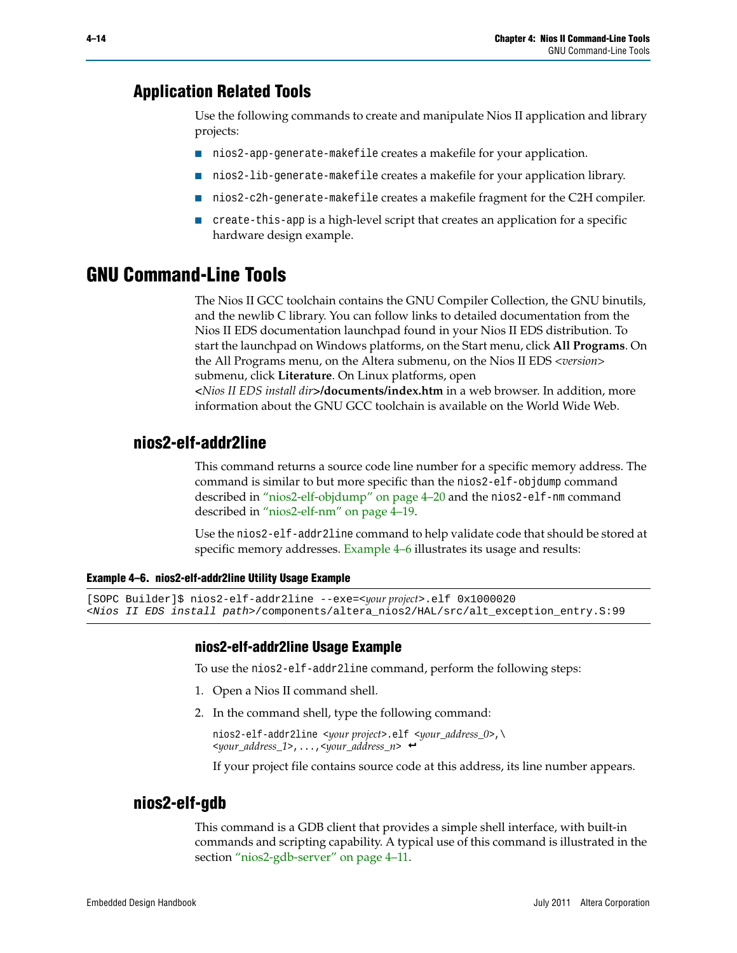## **Application Related Tools**

Use the following commands to create and manipulate Nios II application and library projects:

- nios2-app-generate-makefile creates a makefile for your application.
- nios2-lib-generate-makefile creates a makefile for your application library.
- nios2-c2h-generate-makefile creates a makefile fragment for the C2H compiler.
- create-this-app is a high-level script that creates an application for a specific hardware design example.

## **GNU Command-Line Tools**

The Nios II GCC toolchain contains the GNU Compiler Collection, the GNU binutils, and the newlib C library. You can follow links to detailed documentation from the Nios II EDS documentation launchpad found in your Nios II EDS distribution. To start the launchpad on Windows platforms, on the Start menu, click **All Programs**. On the All Programs menu, on the Altera submenu, on the Nios II EDS <*version*> submenu, click **Literature**. On Linux platforms, open

**<***Nios II EDS install dir***>/documents/index.htm** in a web browser. In addition, more information about the GNU GCC toolchain is available on the World Wide Web.

## **nios2-elf-addr2line**

This command returns a source code line number for a specific memory address. The command is similar to but more specific than the nios2-elf-objdump command described in ["nios2-elf-objdump" on page 4–20](#page-19-0) and the nios2-elf-nm command described in ["nios2-elf-nm" on page 4–19](#page-18-0).

Use the nios2-elf-addr2line command to help validate code that should be stored at specific memory addresses. Example 4–6 illustrates its usage and results:

#### **Example 4–6. nios2-elf-addr2line Utility Usage Example**

```
[SOPC Builder]$ nios2-elf-addr2line --exe=<your project>.elf 0x1000020
<Nios II EDS install path>/components/altera_nios2/HAL/src/alt_exception_entry.S:99
```
#### **nios2-elf-addr2line Usage Example**

To use the nios2-elf-addr2line command, perform the following steps:

- 1. Open a Nios II command shell.
- 2. In the command shell, type the following command:

nios2-elf-addr2line <*your project*>.elf <*your\_address\_0*>,\ <*your\_address\_1*>,...,<*your\_address\_n*> r

If your project file contains source code at this address, its line number appears.

## <span id="page-13-0"></span>**nios2-elf-gdb**

This command is a GDB client that provides a simple shell interface, with built-in commands and scripting capability. A typical use of this command is illustrated in the section ["nios2-gdb-server" on page 4–11.](#page-10-0)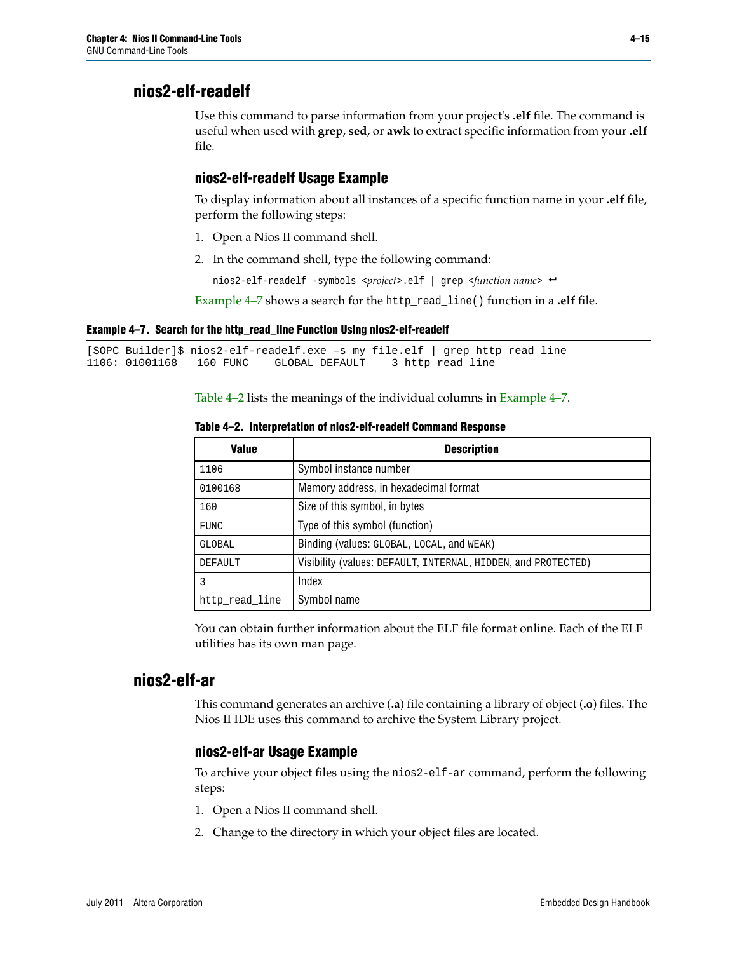## **nios2-elf-readelf**

Use this command to parse information from your project's **.elf** file. The command is useful when used with **grep**, **sed**, or **awk** to extract specific information from your **.elf** file.

#### **nios2-elf-readelf Usage Example**

To display information about all instances of a specific function name in your **.elf** file, perform the following steps:

- 1. Open a Nios II command shell.
- 2. In the command shell, type the following command:

nios2-elf-readelf -symbols <*project*>.elf | grep <*function name*> r

Example 4–7 shows a search for the http\_read\_line() function in a **.elf** file.

```
Example 4–7. Search for the http_read_line Function Using nios2-elf-readelf
```

```
[SOPC Builder]$ nios2-elf-readelf.exe –s my_file.elf | grep http_read_line
1106: 01001168 160 FUNC GLOBAL DEFAULT 3 http_read_line
```
Table 4–2 lists the meanings of the individual columns in Example 4–7.

| <b>Value</b>   | <b>Description</b>                                            |
|----------------|---------------------------------------------------------------|
| 1106           | Symbol instance number                                        |
| 0100168        | Memory address, in hexadecimal format                         |
| 160            | Size of this symbol, in bytes                                 |
| <b>FUNC</b>    | Type of this symbol (function)                                |
| GLOBAL         | Binding (values: GLOBAL, LOCAL, and WEAK)                     |
| DEFAULT        | Visibility (values: DEFAULT, INTERNAL, HIDDEN, and PROTECTED) |
| 3              | Index                                                         |
| http read line | Symbol name                                                   |

**Table 4–2. Interpretation of nios2-elf-readelf Command Response**

You can obtain further information about the ELF file format online. Each of the ELF utilities has its own man page.

## <span id="page-14-0"></span>**nios2-elf-ar**

This command generates an archive (**.a**) file containing a library of object (**.o**) files. The Nios II IDE uses this command to archive the System Library project.

#### **nios2-elf-ar Usage Example**

To archive your object files using the nios2-elf-ar command, perform the following steps:

- 1. Open a Nios II command shell.
- 2. Change to the directory in which your object files are located.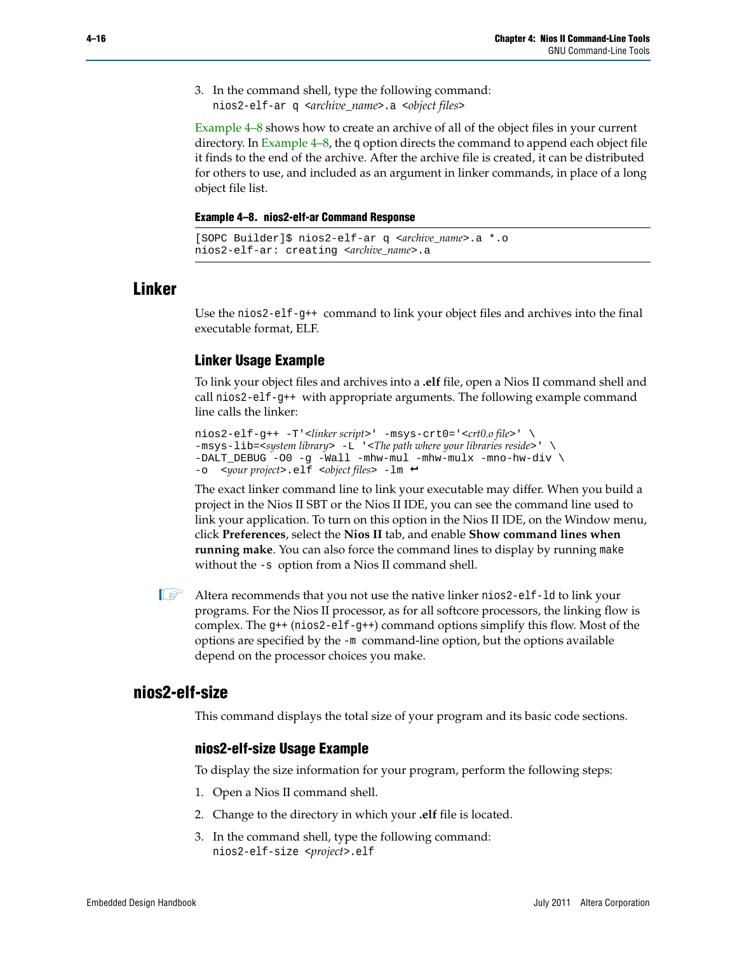3. In the command shell, type the following command: nios2-elf-ar q <*archive\_name*>.a <*object files*>

Example 4–8 shows how to create an archive of all of the object files in your current directory. In Example 4–8, the q option directs the command to append each object file it finds to the end of the archive. After the archive file is created, it can be distributed for others to use, and included as an argument in linker commands, in place of a long object file list.

#### **Example 4–8. nios2-elf-ar Command Response**

```
[SOPC Builder]$ nios2-elf-ar q <archive_name>.a *.o
nios2-elf-ar: creating <archive_name>.a
```
### **Linker**

Use the nios2-elf-g++ command to link your object files and archives into the final executable format, ELF.

#### **Linker Usage Example**

To link your object files and archives into a **.elf** file, open a Nios II command shell and call nios2-elf-g++ with appropriate arguments. The following example command line calls the linker:

```
nios2-elf-g++ -T'<linker script>' -msys-crt0='<crt0.o file>' \
-msys-lib=<system library> -L '<The path where your libraries reside>' \
-DALT_DEBUG -OO -g -Wall -mhw-mul -mhw-mulx -mno-hw-div \-o <your project>.elf <object files> -lm r
```
The exact linker command line to link your executable may differ. When you build a project in the Nios II SBT or the Nios II IDE, you can see the command line used to link your application. To turn on this option in the Nios II IDE, on the Window menu, click **Preferences**, select the **Nios II** tab, and enable **Show command lines when running make**. You can also force the command lines to display by running make without the -s option from a Nios II command shell.

**1 Altera recommends that you not use the native linker nios2-elf-ld to link your** programs. For the Nios II processor, as for all softcore processors, the linking flow is complex. The g++ (nios2-elf-g++) command options simplify this flow. Most of the options are specified by the -m command-line option, but the options available depend on the processor choices you make.

### **nios2-elf-size**

This command displays the total size of your program and its basic code sections.

#### **nios2-elf-size Usage Example**

To display the size information for your program, perform the following steps:

- 1. Open a Nios II command shell.
- 2. Change to the directory in which your **.elf** file is located.
- 3. In the command shell, type the following command: nios2-elf-size <*project*>.elf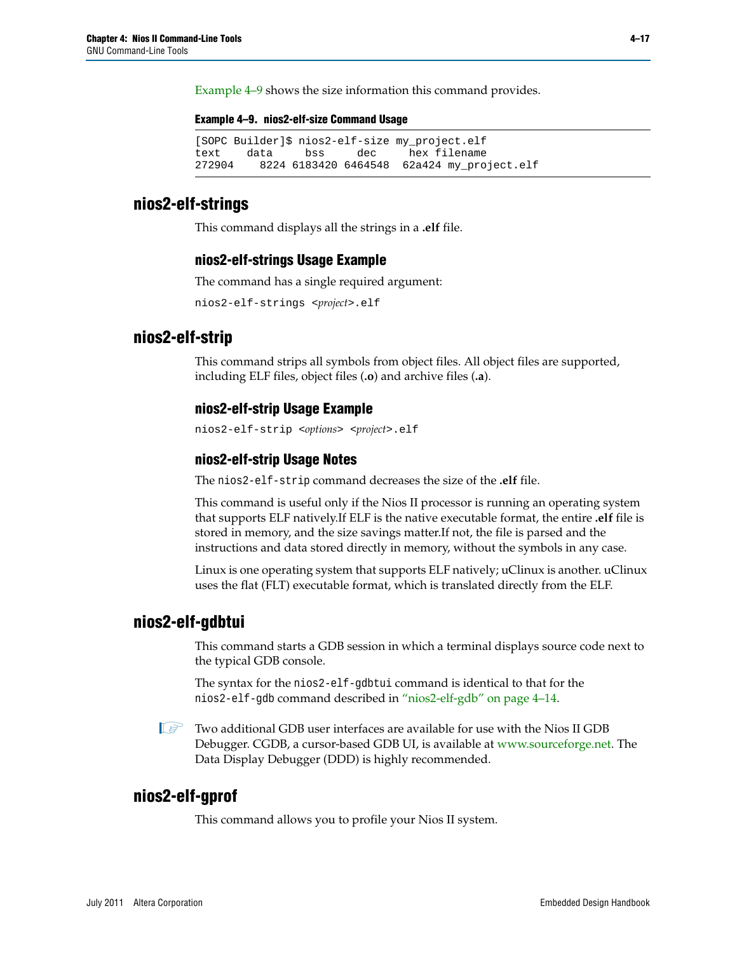Example 4–9 shows the size information this command provides.

**Example 4–9. nios2-elf-size Command Usage**

[SOPC Builder]\$ nios2-elf-size my\_project.elf text data bss dec hex filename 272904 8224 6183420 6464548 62a424 my\_project.elf

### **nios2-elf-strings**

This command displays all the strings in a **.elf** file.

#### **nios2-elf-strings Usage Example**

The command has a single required argument:

nios2-elf-strings <*project*>.elf

## **nios2-elf-strip**

This command strips all symbols from object files. All object files are supported, including ELF files, object files (**.o**) and archive files (**.a**).

#### **nios2-elf-strip Usage Example**

nios2-elf-strip <*options*> <*project*>.elf

#### **nios2-elf-strip Usage Notes**

The nios2-elf-strip command decreases the size of the **.elf** file.

This command is useful only if the Nios II processor is running an operating system that supports ELF natively.If ELF is the native executable format, the entire **.elf** file is stored in memory, and the size savings matter.If not, the file is parsed and the instructions and data stored directly in memory, without the symbols in any case.

Linux is one operating system that supports ELF natively; uClinux is another. uClinux uses the flat (FLT) executable format, which is translated directly from the ELF.

### **nios2-elf-gdbtui**

This command starts a GDB session in which a terminal displays source code next to the typical GDB console.

The syntax for the nios2-elf-gdbtui command is identical to that for the nios2-elf-gdb command described in ["nios2-elf-gdb" on page 4–14.](#page-13-0)

**1 Two additional GDB user interfaces are available for use with the Nios II GDB** Debugger. CGDB, a cursor-based GDB UI, is available at [www.sourceforge.net.](http://www.sourceforge.net) The Data Display Debugger (DDD) is highly recommended.

### **nios2-elf-gprof**

This command allows you to profile your Nios II system.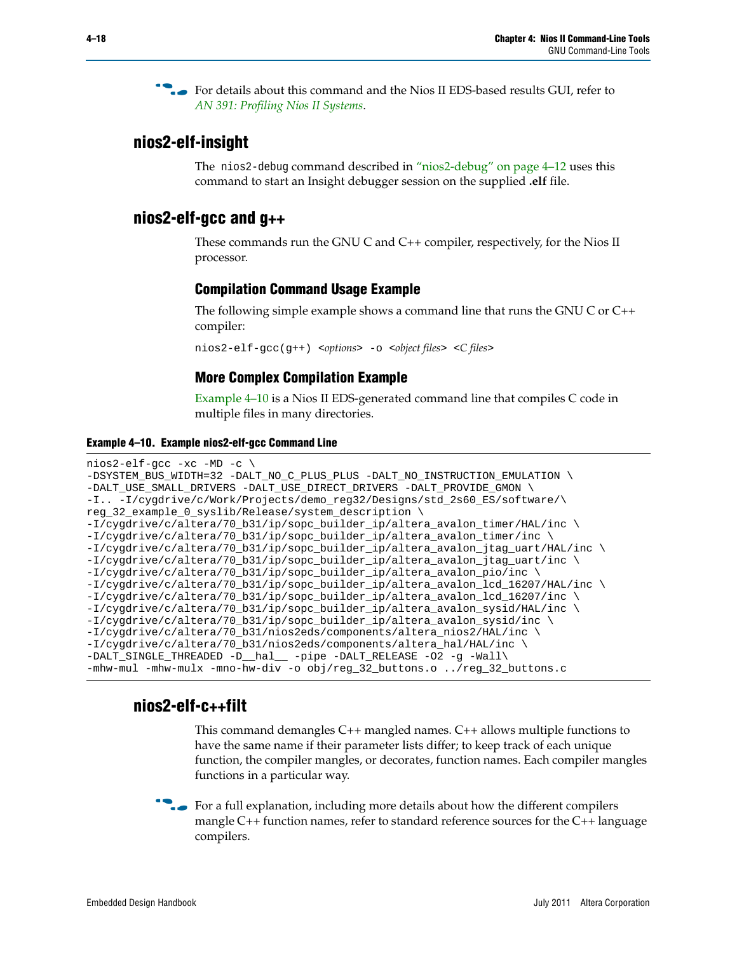

For details about this command and the Nios II EDS-based results GUI, refer to *[AN 391: Profiling Nios II Systems](http://www.altera.com/literature/an/an391.pdf)*.

## **nios2-elf-insight**

The nios2-debug command described in ["nios2-debug" on page 4–12](#page-11-0) uses this command to start an Insight debugger session on the supplied **.elf** file.

## **nios2-elf-gcc and g++**

These commands run the GNU C and C++ compiler, respectively, for the Nios II processor.

### **Compilation Command Usage Example**

The following simple example shows a command line that runs the GNU C or C++ compiler:

nios2-elf-gcc(g++) <*options*> -o <*object files*> <*C files*>

### **More Complex Compilation Example**

Example 4–10 is a Nios II EDS-generated command line that compiles C code in multiple files in many directories.

#### **Example 4–10. Example nios2-elf-gcc Command Line**

```
nios2-elf-gcc -xc -MD -c \
-DSYSTEM_BUS_WIDTH=32 -DALT_NO_C_PLUS_PLUS -DALT_NO_INSTRUCTION_EMULATION \
-DALT_USE_SMALL_DRIVERS -DALT_USE_DIRECT_DRIVERS -DALT_PROVIDE_GMON \
-I.. -I/cygdrive/c/Work/Projects/demo_reg32/Designs/std_2s60_ES/software/\
reg_32_example_0_syslib/Release/system_description \
-I/cygdrive/c/altera/70_b31/ip/sopc_builder_ip/altera_avalon_timer/HAL/inc \
-I/cygdrive/c/altera/70_b31/ip/sopc_builder_ip/altera_avalon_timer/inc \
-I/cygdrive/c/altera/70_b31/ip/sopc_builder_ip/altera_avalon_jtag_uart/HAL/inc \
-I/cygdrive/c/altera/70_b31/ip/sopc_builder_ip/altera_avalon_jtag_uart/inc \
-I/cygdrive/c/altera/70_b31/ip/sopc_builder_ip/altera_avalon_pio/inc \
-I/cygdrive/c/altera/70_b31/ip/sopc_builder_ip/altera_avalon_lcd_16207/HAL/inc \
-I/cygdrive/c/altera/70_b31/ip/sopc_builder_ip/altera_avalon_lcd_16207/inc \
-I/cygdrive/c/altera/70_b31/ip/sopc_builder_ip/altera_avalon_sysid/HAL/inc \
-I/cygdrive/c/altera/70_b31/ip/sopc_builder_ip/altera_avalon_sysid/inc \
-I/cygdrive/c/altera/70_b31/nios2eds/components/altera_nios2/HAL/inc \
-I/cygdrive/c/altera/70_b31/nios2eds/components/altera_hal/HAL/inc \
-DALT_SINGLE_THREADED -D__hal__ -pipe -DALT_RELEASE -O2 -g -Wall\
-mhw-mul -mhw-mulx -mno-hw-div -o obj/reg_32_buttons.o ../reg_32_buttons.c
```
## **nios2-elf-c++filt**

This command demangles C++ mangled names. C++ allows multiple functions to have the same name if their parameter lists differ; to keep track of each unique function, the compiler mangles, or decorates, function names. Each compiler mangles functions in a particular way.

**For a full explanation, including more details about how the different compilers** mangle C++ function names, refer to standard reference sources for the C++ language compilers.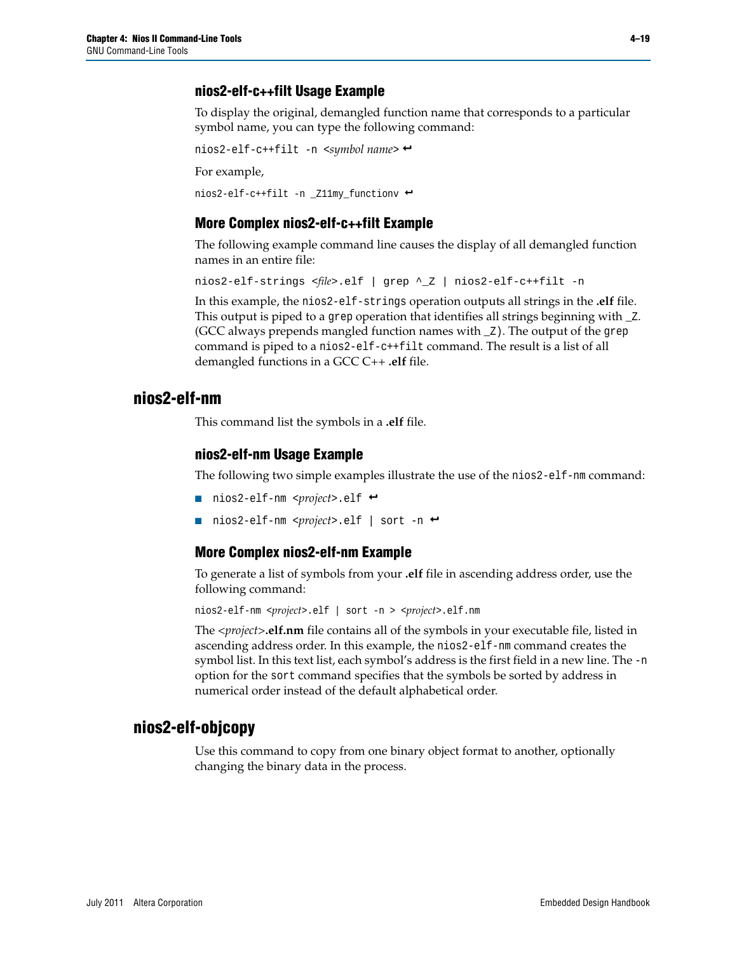#### **nios2-elf-c++filt Usage Example**

To display the original, demangled function name that corresponds to a particular symbol name, you can type the following command:

nios2-elf-c++filt -n <*symbol name*> r

For example,

 $nios2-elf-c++filt -n _Z11my_function \leftrightarrow$ 

### **More Complex nios2-elf-c++filt Example**

The following example command line causes the display of all demangled function names in an entire file:

nios2-elf-strings <*file*>.elf | grep ^\_Z | nios2-elf-c++filt -n

In this example, the nios2-elf-strings operation outputs all strings in the **.elf** file. This output is piped to a grep operation that identifies all strings beginning with \_Z. (GCC always prepends mangled function names with \_Z). The output of the grep command is piped to a nios2-elf-c++filt command. The result is a list of all demangled functions in a GCC C++ **.elf** file.

### <span id="page-18-0"></span>**nios2-elf-nm**

This command list the symbols in a **.elf** file.

#### **nios2-elf-nm Usage Example**

The following two simple examples illustrate the use of the nios2-elf-nm command:

- nios2-elf-nm <project>.elf ←
- nios2-elf-nm <project>.elf | sort -n ←

#### **More Complex nios2-elf-nm Example**

To generate a list of symbols from your **.elf** file in ascending address order, use the following command:

nios2-elf-nm <*project*>.elf | sort -n > <*project*>.elf.nm

The <*project*>**.elf.nm** file contains all of the symbols in your executable file, listed in ascending address order. In this example, the nios2-elf-nm command creates the symbol list. In this text list, each symbol's address is the first field in a new line. The -n option for the sort command specifies that the symbols be sorted by address in numerical order instead of the default alphabetical order.

#### **nios2-elf-objcopy**

Use this command to copy from one binary object format to another, optionally changing the binary data in the process.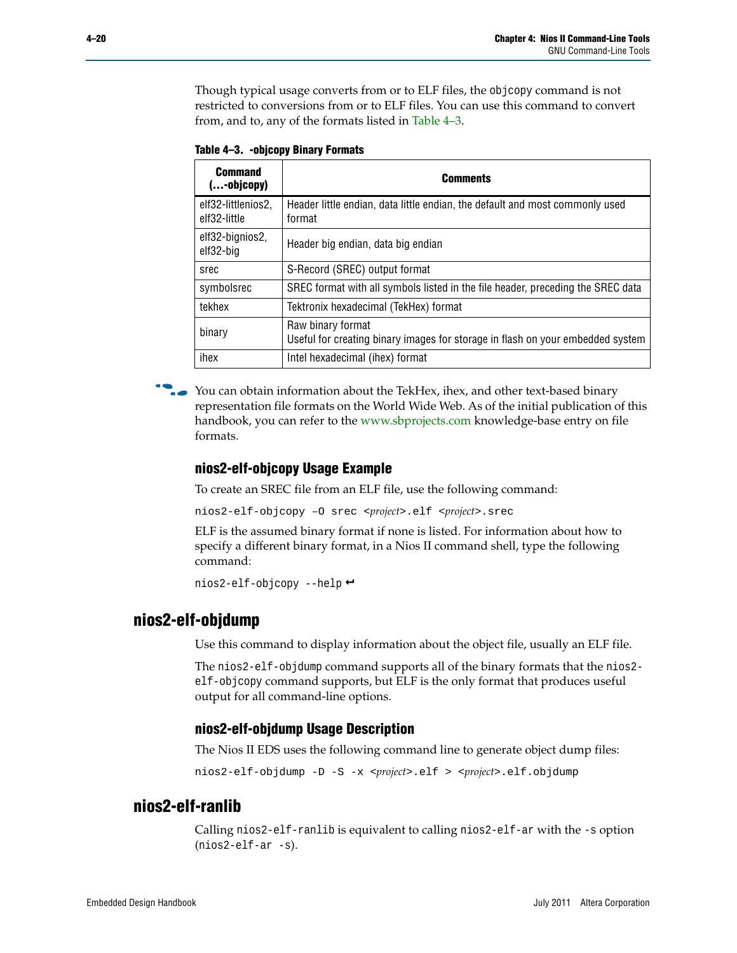Though typical usage converts from or to ELF files, the objcopy command is not restricted to conversions from or to ELF files. You can use this command to convert from, and to, any of the formats listed in Table 4–3.

**Table 4–3. -objcopy Binary Formats**

| <b>Command</b><br>$($ -objcopy)    | <b>Comments</b>                                                                                     |
|------------------------------------|-----------------------------------------------------------------------------------------------------|
| elf32-littlenios2.<br>elf32-little | Header little endian, data little endian, the default and most commonly used<br>format              |
| elf32-bignios2,<br>elf32-big       | Header big endian, data big endian                                                                  |
| srec                               | S-Record (SREC) output format                                                                       |
| symbolsrec                         | SREC format with all symbols listed in the file header, preceding the SREC data                     |
| tekhex                             | Tektronix hexadecimal (TekHex) format                                                               |
| binary                             | Raw binary format<br>Useful for creating binary images for storage in flash on your embedded system |
| ihex                               | Intel hexadecimal (ihex) format                                                                     |

**follow** You can obtain information about the TekHex, ihex, and other text-based binary representation file formats on the World Wide Web. As of the initial publication of this handbook, you can refer to the [www.sbprojects.com](http://www.sbprojects.com) knowledge-base entry on file formats.

#### **nios2-elf-objcopy Usage Example**

To create an SREC file from an ELF file, use the following command:

nios2-elf-objcopy –O srec <*project*>.elf <*project*>.srec

ELF is the assumed binary format if none is listed. For information about how to specify a different binary format, in a Nios II command shell, type the following command:

```
nios2-elf-objcopy --help ←
```
### <span id="page-19-0"></span>**nios2-elf-objdump**

Use this command to display information about the object file, usually an ELF file.

The nios2-elf-objdump command supports all of the binary formats that the nios2 elf-objcopy command supports, but ELF is the only format that produces useful output for all command-line options.

#### **nios2-elf-objdump Usage Description**

The Nios II EDS uses the following command line to generate object dump files:

nios2-elf-objdump -D -S -x <*project*>.elf > <*project*>.elf.objdump

### **nios2-elf-ranlib**

Calling nios2-elf-ranlib is equivalent to calling nios2-elf-ar with the -s option (nios2-elf-ar -s).